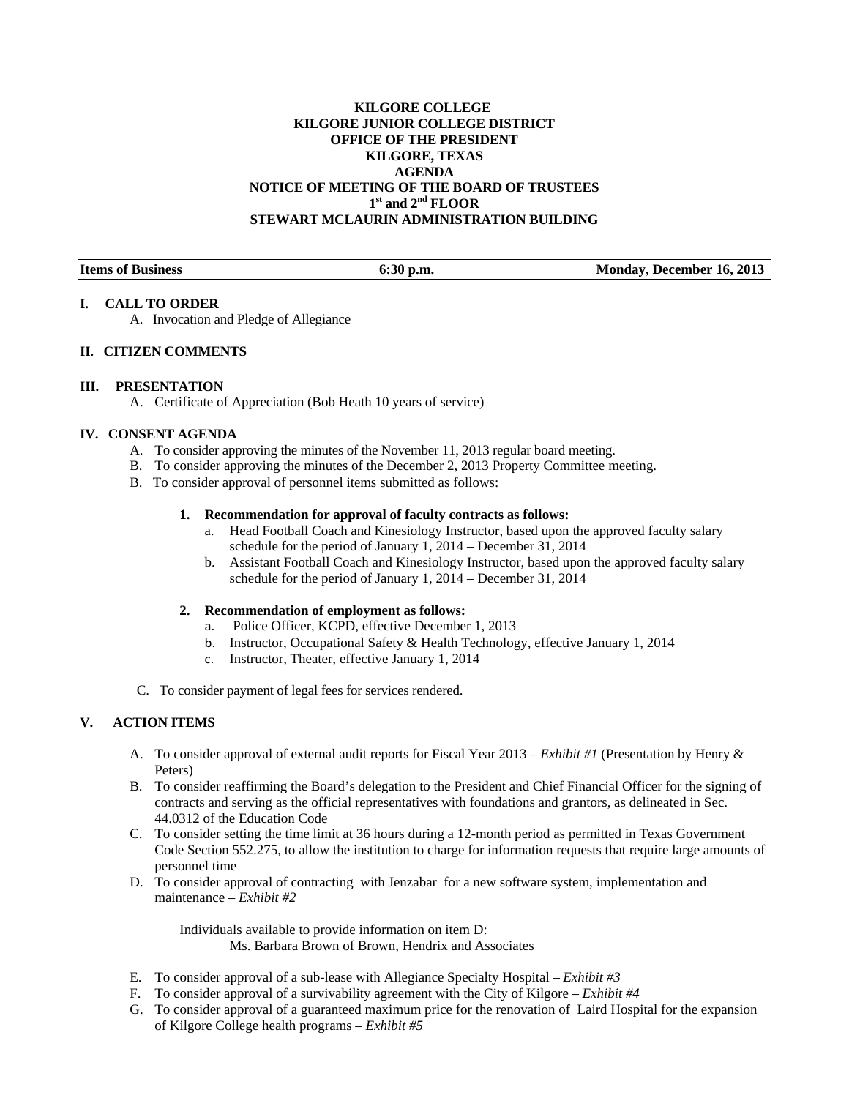# **KILGORE COLLEGE KILGORE JUNIOR COLLEGE DISTRICT OFFICE OF THE PRESIDENT KILGORE, TEXAS AGENDA NOTICE OF MEETING OF THE BOARD OF TRUSTEES 1st and 2nd FLOOR STEWART MCLAURIN ADMINISTRATION BUILDING**

| <b>Items of Business</b> | $6:30$ p.m. | <b>Monday, December 16, 2013</b> |
|--------------------------|-------------|----------------------------------|

### **I. CALL TO ORDER**

A. Invocation and Pledge of Allegiance

## **II. CITIZEN COMMENTS**

### **III. PRESENTATION**

A. Certificate of Appreciation (Bob Heath 10 years of service)

## **IV. CONSENT AGENDA**

- A. To consider approving the minutes of the November 11, 2013 regular board meeting.
- B. To consider approving the minutes of the December 2, 2013 Property Committee meeting.
- B. To consider approval of personnel items submitted as follows:

#### **1. Recommendation for approval of faculty contracts as follows:**

- a. Head Football Coach and Kinesiology Instructor, based upon the approved faculty salary schedule for the period of January 1, 2014 – December 31, 2014
- b. Assistant Football Coach and Kinesiology Instructor, based upon the approved faculty salary schedule for the period of January 1, 2014 – December 31, 2014

### **2. Recommendation of employment as follows:**

- a. Police Officer, KCPD, effective December 1, 2013
- b. Instructor, Occupational Safety & Health Technology, effective January 1, 2014
- c. Instructor, Theater, effective January 1, 2014
- C. To consider payment of legal fees for services rendered.

### **V. ACTION ITEMS**

- A. To consider approval of external audit reports for Fiscal Year 2013 *Exhibit #1* (Presentation by Henry & Peters)
- B. To consider reaffirming the Board's delegation to the President and Chief Financial Officer for the signing of contracts and serving as the official representatives with foundations and grantors, as delineated in Sec. 44.0312 of the Education Code
- C. To consider setting the time limit at 36 hours during a 12-month period as permitted in Texas Government Code Section 552.275, to allow the institution to charge for information requests that require large amounts of personnel time
- D. To consider approval of contracting with Jenzabar for a new software system, implementation and maintenance – *Exhibit #2*

Individuals available to provide information on item D: Ms. Barbara Brown of Brown, Hendrix and Associates

- E. To consider approval of a sub-lease with Allegiance Specialty Hospital *Exhibit #3*
- F. To consider approval of a survivability agreement with the City of Kilgore *Exhibit #4*
- G. To consider approval of a guaranteed maximum price for the renovation of Laird Hospital for the expansion of Kilgore College health programs – *Exhibit #5*